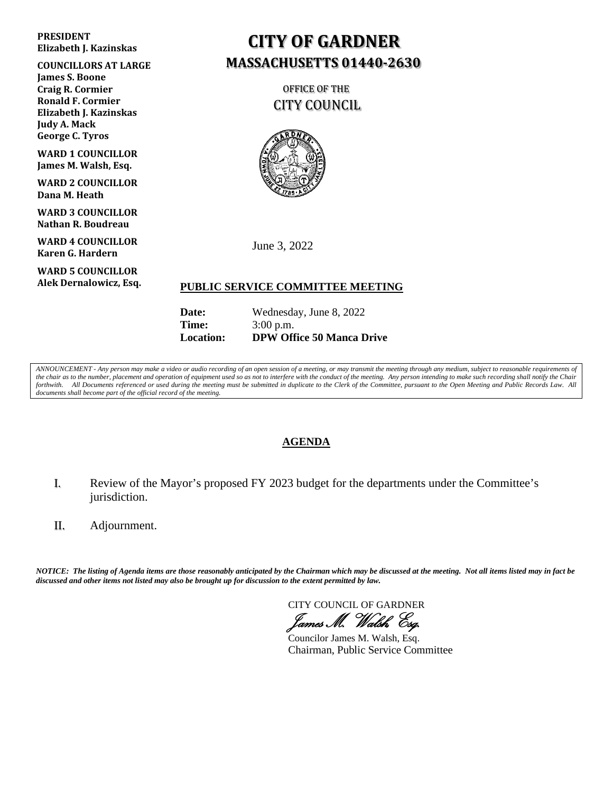#### **PRESIDENT Elizabeth J. Kazinskas**

**COUNCILLORS AT LARGE James S. Boone Craig R. Cormier Ronald F. Cormier Elizabeth J. Kazinskas Judy A. Mack George C. Tyros**

**WARD 1 COUNCILLOR James M. Walsh, Esq.**

**WARD 2 COUNCILLOR Dana M. Heath**

**WARD 3 COUNCILLOR Nathan R. Boudreau**

**WARD 4 COUNCILLOR Karen G. Hardern**

**WARD 5 COUNCILLOR Alek Dernalowicz, Esq.**

## **CITY OF GARDNER MASSACHUSETTS 01440-2630**

 OFFICE OF THE CITY COUNCIL



June 3, 2022

#### **PUBLIC SERVICE COMMITTEE MEETING**

| <b>Location:</b> | <b>DPW Office 50 Manca Drive</b> |
|------------------|----------------------------------|
| Time:            | $3:00$ p.m.                      |
| <b>Date:</b>     | Wednesday, June 8, 2022          |

*ANNOUNCEMENT - Any person may make a video or audio recording of an open session of a meeting, or may transmit the meeting through any medium, subject to reasonable requirements of the chair as to the number, placement and operation of equipment used so as not to interfere with the conduct of the meeting. Any person intending to make such recording shall notify the Chair*  forthwith. All Documents referenced or used during the meeting must be submitted in duplicate to the Clerk of the Committee, pursuant to the Open Meeting and Public Records Law. All *documents shall become part of the official record of the meeting.*

### **AGENDA**

- I. Review of the Mayor's proposed FY 2023 budget for the departments under the Committee's jurisdiction.
- II. Adjournment.

*NOTICE: The listing of Agenda items are those reasonably anticipated by the Chairman which may be discussed at the meeting. Not all items listed may in fact be discussed and other items not listed may also be brought up for discussion to the extent permitted by law.* 

CITY COUNCIL OF GARDNER James M. Walsh, Esq.

Councilor James M. Walsh, Esq. Chairman, Public Service Committee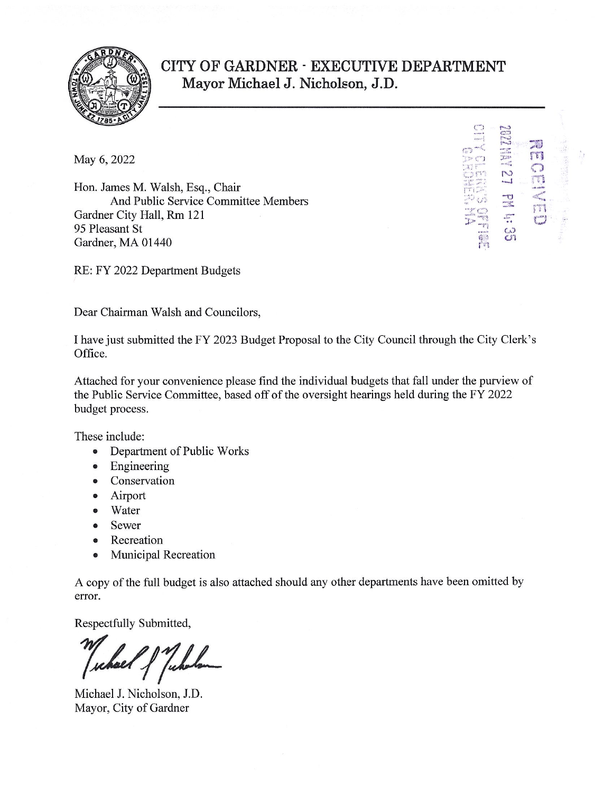

### CITY OF GARDNER - EXECUTIVE DEPARTMENT Mayor Michael J. Nicholson, J.D.

**ILA** 

 $\mathbb{C}^3$ 

May 6, 2022

Hon. James M. Walsh, Esq., Chair And Public Service Committee Members Gardner City Hall, Rm 121 95 Pleasant St Gardner, MA 01440

RE: FY 2022 Department Budgets

Dear Chairman Walsh and Councilors,

I have just submitted the FY 2023 Budget Proposal to the City Council through the City Clerk's Office.

Attached for your convenience please find the individual budgets that fall under the purview of the Public Service Committee, based off of the oversight hearings held during the FY 2022 budget process.

These include:

- $\bullet$ Department of Public Works
- Engineering  $\bullet$
- Conservation
- Airport  $\bullet$
- Water  $\bullet$
- Sewer  $\bullet$
- Recreation  $\bullet$
- **Municipal Recreation**  $\bullet$

A copy of the full budget is also attached should any other departments have been omitted by error.

Respectfully Submitted,

Michael J. Nicholson, J.D. Mayor, City of Gardner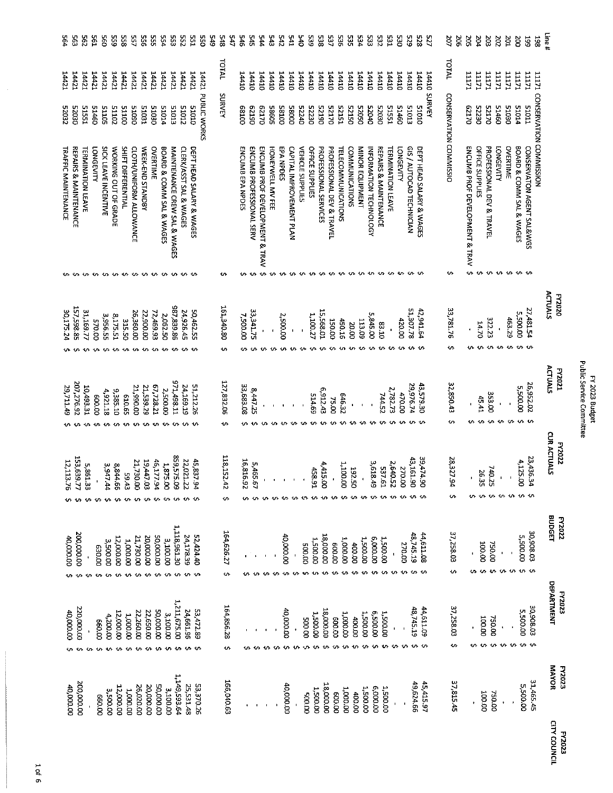| Ł<br>.<br>آ<br>Ē<br>ı<br>ä<br>Ä | Į<br>i |
|---------------------------------|--------|
|---------------------------------|--------|

| 564                        | 295<br>595                       |                          | čá               | 560                  | 525                  | SSC                | š                       | 955                       | ង្ហ                           | 554                      | 553                                       | 35                     | ESS <sub>1</sub>         | š                  | 549 | 747<br>345       | 546 |                  | ă                        | Ъć                             | 545              | 242             | 541                      | ð¥                      | 39              | 538                   | 537                       | 38                        | Šξ                    | ħΞ                     | ដូ                     | S2                               | 엺                        | g                      | 525                             | 825                      | 52            | ğ                      | ă         | SOS                                         | ÞΣ                | ă                         | 20Z               | 201                | δg                       | 56<br>36T                                                  | Line#             |                                      |
|----------------------------|----------------------------------|--------------------------|------------------|----------------------|----------------------|--------------------|-------------------------|---------------------------|-------------------------------|--------------------------|-------------------------------------------|------------------------|--------------------------|--------------------|-----|------------------|-----|------------------|--------------------------|--------------------------------|------------------|-----------------|--------------------------|-------------------------|-----------------|-----------------------|---------------------------|---------------------------|-----------------------|------------------------|------------------------|----------------------------------|--------------------------|------------------------|---------------------------------|--------------------------|---------------|------------------------|-----------|---------------------------------------------|-------------------|---------------------------|-------------------|--------------------|--------------------------|------------------------------------------------------------|-------------------|--------------------------------------|
| 14421                      | 14421                            | 14421                    | 14421            | 14421                | 14421                | 14421              | 14421                   | 14421                     | 14421                         | 14421                    | 14421                                     | 14421                  | 14421                    |                    |     | <b>TATAL</b>     |     | 14410            | 14410                    | 14410                          | 01111            | 14410           | 14410                    | $0$ t $ttt$             | <b>OITTEL</b>   | 14410                 | 14410                     | 14410                     | <b>UTT+T</b>          | 14410                  | 14410                  | 14410                            | 14410                    | 14410                  | 14410                           | 01 <b>bb1</b>            | 14410         | <b>TVIOL</b>           |           | <b>ITITI</b>                                | <b>ITIT1</b>      | 11171                     | 11171             | 11171              | 11171                    | <b>LLITT</b>                                               |                   |                                      |
| 52032                      | 52030                            | 1251                     | <b>O9tTS</b>     | <b>SOTTS</b>         | 51102                | <b>OOTTS</b>       | <b>OSOTS</b>            | <b>ICOT5</b>              | <b>O2OT5</b>                  | 51014                    | <b>S1013</b>                              | 51012                  | 01019                    | 14421 PUBLIC WORKS |     | SURVEY           |     | 00189            | 06129                    | 02129                          | E8605            | 00185           | 00085                    | 52240                   | 52230           | 06TZ5                 | 0/175                     | <b>LETZ5</b>              | 05125                 | 05025                  | 0005                   | 02025                            | <b>51551</b>             | 09715                  | 51013                           | <b>S1010</b>             | <b>SURVEY</b> |                        |           | 021120                                      | 02225             | 02125                     | 51460             | 02015              | 51014                    | <b>LIOIS</b>                                               |                   |                                      |
| <b>TRAFFIC MAINTENANCE</b> | <b>REPAIRS &amp; MAINTENANCE</b> | <b>TERMINATION LEAVE</b> | <b>LONGEVITY</b> | SICK LEAVE INCENTIVE | WORKING OUT OF GRADE | SHIFT DIFFERENTIAL | CLOTH/UNIFORM ALLOWANCE | WEEK-END STANDBY          | <b>OVERTIME</b>               | BOARD & COMM SAL & WAGES | MAINTENANCE CREW SAL & WAGES              | CLERK/ASST SAL & WAGES | DEPT HEAD SALARY & WAGES |                    |     |                  |     | ENCUMB EPA NPDES | ENCUMB PROFESSIONAL SERV | ENCUMB PROF DEVELOPMENT & TRAV | HONENWELL MV FEE | EPA NPDES       | CAPITAL IMPROVEMENT PLAN | <b>VEHICLE SUPPLIES</b> | OFFICE SUPPLIES | PROFESSIONAL SERVICES | PROFESSIONAL DEV & TRAVEL | <b>TELECOMMUNICATIONS</b> | <b>COMMUNICATIONS</b> | <b>NINOR EQUIPMENT</b> | INFORMATION TECHNOLOGY | <b>REPAIRS &amp; MAINTENANCE</b> | <b>TERMINATION LEAVE</b> | <b>LONGEVITY</b>       | <b>GIS / AUTOCAD TECHNICIAN</b> | DEPT HEAD SALARY & WAGES |               | CONSERVATION COMMISSIO |           | ENCUMB PROF DEVELOPMENT & TRAV<br>$\bullet$ | OFFICE SUPPLIES   | PROFESSIONAL DEV & TRAVEL | <b>LONGEVITY</b>  | OVERTIME           | BOARD & COMM SAL & WAGES | 11171 CONSERVATION COMMISSION<br>CONSERVATON AGENT SAL&WGS |                   |                                      |
|                            | w                                |                          |                  |                      |                      | www.www.           |                         |                           |                               |                          |                                           | www                    |                          |                    |     | ᠊                |     |                  |                          |                                |                  |                 |                          |                         |                 | ↜                     | $\bullet$                 | www.www.w                 |                       |                        |                        |                                  |                          |                        |                                 |                          |               | ÷.                     |           |                                             | $\sim$            |                           |                   | <b>wwwww</b>       |                          |                                                            |                   |                                      |
| 30,175.24                  | 157,598.85                       | 31,169.77                | 00'025           | 3,956.55             | 2,175.51             | <b>SLS.50</b>      | 26,360.00<br>÷.         | 22,900.00<br>≁            | 72,469.93<br>ተብ               | 2,062.50<br>۰ı           | 98.839.86                                 | 24,926.45              | 50,462.55                |                    |     | 161,340.80<br>ın |     | <b>2,500.00</b>  | 33,341.75                |                                |                  | 2,500.00        | $\blacksquare$           |                         | 1,100.27        | 15,568.01             | 150.00                    | 450.16                    | 20.00                 | 113.09                 | 5,845.00               | 03.10                            |                          | 420.00                 | 51,307.78                       | 42,941.64                |               | 33,781.76<br>s,        |           | $\bullet$                                   | 0231              | 322.23                    | $\bullet$<br>᠊ᡃ   | 463.29<br><b>U</b> | 5,500.00<br>v            | 27,481.54                                                  | ACTUALS           | <b>PY2020</b>                        |
|                            |                                  |                          |                  |                      |                      |                    |                         |                           |                               |                          |                                           |                        |                          |                    |     |                  |     |                  |                          |                                |                  |                 |                          |                         |                 |                       |                           |                           |                       |                        |                        |                                  |                          |                        |                                 |                          |               |                        |           |                                             |                   |                           |                   |                    |                          |                                                            | ACTUALS           | <b>F2021</b>                         |
| 29,711.49                  | 207,276.92                       | 10,493.31                | 600.00           | 4,921.18             | 9,385.10             | 59'019             | 21,990.00               | 21,539.29                 | 67,728.21                     | 2,500.00                 | 17,498.11                                 | 24,169.19              | 51,212.26                |                    |     | 127,832.06       |     | 33,683.08        | 8,447.25                 |                                |                  |                 |                          |                         | 514.69          | 6,912.43              | 75.00                     | 646.32                    |                       |                        |                        | 744.52                           | 2,782.73                 | 470.00                 | 29,976.74                       | 43,579.30                |               | 32,850.43              |           | $\blacksquare$                              | 45.41             | 353.00                    |                   |                    | 00'00'5'5                | 26,952.02                                                  |                   |                                      |
|                            |                                  |                          |                  |                      |                      |                    |                         |                           |                               |                          |                                           |                        |                          |                    |     | $\mathbf{u}$     |     |                  |                          |                                | $\sim$           | $10 -$          | $\mathbf{v}$             | 10                      | 10 <sub>1</sub> | $\sim$                | -10                       |                           | <b>00 10 10</b>       |                        |                        |                                  |                          |                        |                                 |                          |               | <b>SA</b>              |           | <b>۱Λ</b>                                   | $\sim$            | in.                       | $\cdot$           | <b>s</b>           | v. v                     |                                                            |                   |                                      |
| 12,113.76                  | 153,639.77                       | 5,861.33<br>¢            | s                | 3,947.44<br>↜        | 8,844.66             | 59.43              | 21,730.00<br>₩          | 19,447.03                 | 46,177.94                     | 1,875.00                 | 859,575.09                                | 22,021.22              | 45,837.94                |                    |     | 118, 152.42<br>∾ |     | 16,816.92        | 5,465<br>$\frac{1}{2}$   |                                |                  |                 |                          | $\cdot$                 | 158.91<br>÷     | 4,415.00<br>÷         | ₩                         | 1,100.00<br>÷             | <b>05760</b><br>÷     | ÷                      | 3,618.49<br>w          | 537.61<br>w                      | 2,640.52<br>$\mathbf{v}$ | 270.00<br>$\mathbf{v}$ | 43,161.90                       | 39,474.<br>နွ            |               | 28,327.94<br>∽         |           | w                                           | 26.35             | 740.25                    | $\mathbf{I}$      | <b>u</b> w w w w   | 4,125.00                 | 23,436.<br>بر<br>م                                         | CUR ACTUALS       | <b>FY2022</b>                        |
|                            |                                  |                          |                  |                      |                      |                    |                         |                           |                               |                          |                                           |                        |                          |                    |     |                  |     |                  |                          |                                |                  |                 |                          |                         |                 |                       |                           |                           |                       |                        |                        |                                  |                          |                        |                                 |                          |               |                        |           |                                             |                   |                           |                   |                    |                          |                                                            | <b>BUDGET</b>     | <b>FY2022</b>                        |
| 40,000.00                  | 200,000.00                       |                          | 00'029           | 3,500.00             | 12,000.00            | 1,000.00           | 21,730.00               | 20,000.00                 | 00'000'05                     | 3,100.00                 | 1,118,961.30                              | <b>PE.871.45</b>       | 52,424.40                |                    |     | 164,626.27       |     |                  |                          |                                |                  | 40,000.00       |                          | 00'005<br>$\bullet$     | 1,500.00        | 18,000.00<br>↭        | 00'009<br>∾               | 1,000.00<br>₩             | <b>400.00</b><br>᠊ᡃ   | 00'00'I<br>¢           | 6.000.00<br>᠊ᡃ         | 1,500.00<br>¢                    | ∽                        | 270.00<br>᠃            | 48,745.19                       | 44,611.08<br>ທະທ         |               | 37, 258.03<br>s        |           | w                                           | <b>CO.CO</b><br>s | 00'054<br>᠊ᡃ              | $\mathbf{I}$<br>w | ↜                  | 5,500.00                 | 30,908.03<br>$\mathbf{u}$ $\mathbf{v}$                     |                   |                                      |
| ۰n                         | v.                               | ↜                        | m                | $\sim$               | ÷                    | ₩                  | $\sim$                  | $\cdot$                   | w                             | s                        |                                           | $\sim$                 |                          |                    |     | ÷                |     | ∽                |                          |                                |                  | ᠊ᡃ              | ÷.                       |                         |                 |                       |                           |                           |                       |                        |                        |                                  |                          |                        |                                 |                          |               |                        |           |                                             |                   |                           |                   |                    |                          |                                                            | <b>DEPARTMENT</b> | <b>FY2023</b>                        |
| 00'000'01                  | 220,000.00                       |                          | 00'099           | 4,200.00             | 12,000.00            | 00000'L<br>$\sim$  | 22,260.00<br>$+$        | 22,650.00<br>$\mathbf{u}$ | <b>50,000.00</b><br><b>SA</b> | 3,100.00                 | 1,211,675.00<br>$\mathbf{u}$ $\mathbf{v}$ | 24,661.96              | 53,472.89<br><b>KO</b>   |                    |     | 164,856.28<br>۰A |     | ١n               |                          | ۰ι                             | v                | 00'000'00<br>٠m | ⇜                        | 00'005<br>- 2           | 1,500.00        | 18,000.00<br>÷        | 600.00                    | 1,000.00                  | 400.00                | 00'00'L<br>$\cdot$     | 00'005'9<br>÷.         | <b>1,500.00</b><br>᠊ᡃ            | s                        | w                      | 48,745.19<br>÷                  | 44,611.09                |               | 37,258.03              | <b>Us</b> | ∽                                           | 100.00<br>s       | <b>750.00</b>             | $\cdot$           | いいい                | 00'00'S<br>⇜             | 30,908.03<br>↜                                             |                   |                                      |
|                            |                                  |                          |                  |                      |                      |                    |                         |                           |                               |                          |                                           |                        |                          |                    |     |                  |     |                  |                          |                                |                  |                 |                          |                         |                 |                       |                           |                           |                       |                        |                        |                                  |                          |                        |                                 |                          |               |                        |           |                                             |                   |                           |                   |                    |                          |                                                            |                   | MAYOR<br><b>FY2023</b>               |
| 00'000'00                  | 200,000.00                       |                          | 00'099           | 3,500.00             | 12,000.00            | 1,000.00           | 26,020.00               | 20,000.00                 | 00'000'05                     |                          | 3,100.00                                  | 1,149,593.64           | 25,531.48<br>53,370.26   |                    |     | 166,040.63       |     |                  |                          |                                |                  | 40,000.00       |                          | 00.00                   | <b>00'005'T</b> | <b>18,000.00</b>      | 00'009                    | 1,000.00                  | 400.00                | <b>00°005'T</b>        | 00'000'9               | 00'005'T                         | $\mathbf{j}$             |                        | 49,624.66                       | 45,415.97                |               |                        | 37,815.45 |                                             | <b>JOD:00</b>     | <b>750.00</b>             |                   |                    | <b>5,500.00</b>          | 31,465.45                                                  |                   |                                      |
|                            |                                  |                          |                  |                      |                      |                    |                         |                           |                               |                          |                                           |                        |                          |                    |     |                  |     |                  |                          |                                |                  |                 |                          |                         |                 |                       |                           |                           |                       |                        |                        |                                  |                          |                        |                                 |                          |               |                        |           |                                             |                   |                           |                   |                    |                          |                                                            |                   | <b>CITY COUNCIL</b><br><b>FY2023</b> |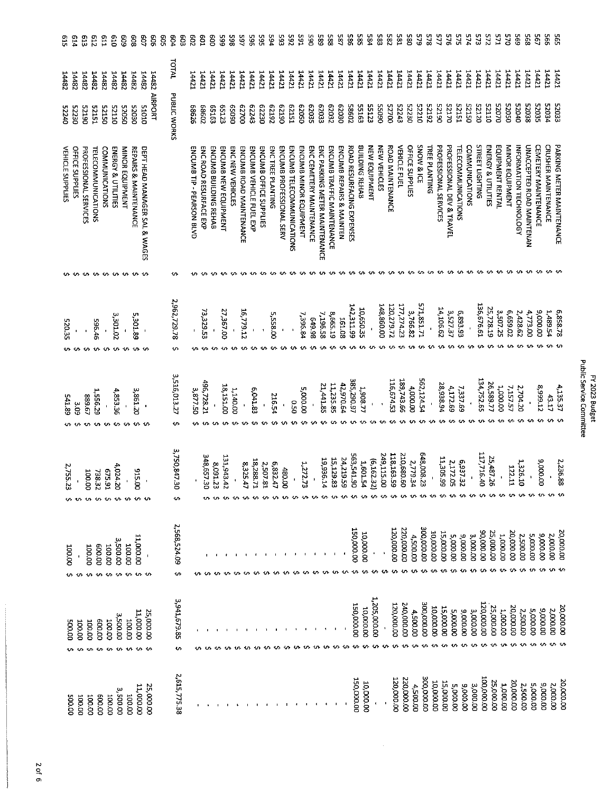| ្អូ                     | 514              | <b>GIB</b>                   | 219                              | t <sub>19</sub>       | ΟĽθ                           | 609                       | 809                       | 9                             | 909           | g | ęp4                   | g                              | 209                       | <b>go</b>              | eoo                   | 565                  | 398              | 165                     | 965                     | ង្ហ                    | <b>P94</b>       | 565                      | 265                       | 591                    | 065                      | 585                           | 385                        | 782                      | 88                        | 382                   | 584           | 583          | 282              | 581          | 380             | 579               | 873           | <b>ZZ5</b>            | 9/5                       | 2/5                              | <b>E74</b>            | 573                    | <b>215</b>         | 571                        | 2X                     | 595                    | 895                       | 795                         | 995                        | 59S                       |
|-------------------------|------------------|------------------------------|----------------------------------|-----------------------|-------------------------------|---------------------------|---------------------------|-------------------------------|---------------|---|-----------------------|--------------------------------|---------------------------|------------------------|-----------------------|----------------------|------------------|-------------------------|-------------------------|------------------------|------------------|--------------------------|---------------------------|------------------------|--------------------------|-------------------------------|----------------------------|--------------------------|---------------------------|-----------------------|---------------|--------------|------------------|--------------|-----------------|-------------------|---------------|-----------------------|---------------------------|----------------------------------|-----------------------|------------------------|--------------------|----------------------------|------------------------|------------------------|---------------------------|-----------------------------|----------------------------|---------------------------|
| 14482                   | 28171            | 14482                        | <b>14482</b>                     | <b>14482</b>          | <b>14482</b>                  | <b>14482</b>              | 14482                     | 14482                         |               |   | <b>TOTAL</b>          |                                | 14421                     | 14421                  | <b>14421</b>          | 14421                | 14421            | 14421                   | 14421                   | 14421                  | 14421            | 14421                    | 14421                     | 14421                  | 14421                    | 14421                         | 14421                      | 14421                    | 14421                     | 14421                 | 14421         | 14421        | 14421            | 14421        | 14421           | 14421             | 14421         | 14421                 | 14421                     | 14421                            | 14421                 | 14421                  | 14421              | 14421                      | 14421                  | <b>14421</b>           | 14421                     | 14421                       | 14421                      | 14421                     |
| 07240                   | 02230            | 06125                        | 15125                            | 05725                 | 0TTZ5                         | 05025                     | 02025                     | <b>OTOTS</b>                  | 14482 AIRPORT |   | PUBLIC WORKS          |                                | 97989                     | 68602                  | 65163                 | <b>ES123</b>         | 06099            | 00/29                   | 62243                   | 62230                  | E2192            | 06129                    | 62151                     | 05029                  | 52035                    | E2033                         | 52052                      | 62030                    | 58602                     | 55163                 | 55123         | <b>OGOSS</b> | 00/25            | 52243        | 52230           | 07225             | 22192         | 06125                 | <b>DZIZS</b>              | EST25                            | 05125                 | <b>52120</b>           | 0112               | 02025                      | 05025                  | <b>Dr025</b>           | 82038                     | 52035                       | 52054                      | 52053                     |
| <b>VEHICLE SUPPLIES</b> | OFFICE SUPPLIES  | <b>PROFESSIONAL SERVICES</b> | <b><i>TELECOMMUNICATIONS</i></b> | <b>COMMUNICATIONS</b> | <b>ENERGY &amp; UTILITIES</b> | MINOR EQUIPMENT           | REPAIRS & MAINTENANCE     | DEPT HEAD MANAGER SAL & WAGES |               |   |                       |                                | ENCUMB TIP - PEARSON BLVD | ENC ROAD RESURFACE EXP | ENCUMB BUILDING REHAB | ENCUMB NEW EQUIPMENT | ENC NEW VEHICLES | ENCUMB ROAD MAINTENANCE | ENCUMB VEHICLE FUEL EXP | ENCUMB OFFICE SUPPLIES | ENCTREE PLANTING | ENCUMB PROFESSIONAL SERV | ENCUMB TELECOMMUNICATIONS | ENCUMB MINOR EQUIPMENT | ENC CEMETERY MAINTENANCE | ENC PARKING METER MAINTENANCE | ENCUMB TRAFFIC MAINTENANCE | ENCUMB REPAIRS & MAINTEN | ROAD RESURFACING EXPENSES | <b>BUILDING REHAB</b> | NEW EQUIPMENT | NEW VEHICLES | ROAD MAINTENANCE | VEHICLE FUEL | OFFICE SUPPLIES | SNOW & ICE        | TREE PLANTING | PROFESSIONAL SERVICES | PROFESSIONAL DEV & TRAVEL | <b><i>TELECOMMUNICATIONS</i></b> | <b>COMMUNICATIONS</b> | <b>STREET LIGHTING</b> | ENERGY & UTILITIES | EQUIPMENT RENTAL           | <b>NINOR EQUIPMENT</b> | INFORMATION TECHNOLOGY | UNACCEPTED ROAD MAINTENAN | <b>CEMETERY MAINTENANCE</b> | <b>CRUSHER MAINTENANCE</b> | PARKING METER MAINTENANCE |
|                         |                  |                              | .                                |                       |                               |                           |                           |                               |               |   |                       |                                |                           |                        |                       |                      |                  |                         |                         |                        |                  |                          |                           |                        |                          |                               |                            |                          |                           |                       |               |              |                  |              |                 |                   |               |                       |                           |                                  |                       |                        |                    |                            |                        | -60                    | $\mathbf{u}$              | ۰u                          |                            |                           |
| 520.35                  |                  |                              | 596.46                           |                       | 3,301.02                      |                           | 5,301.89                  |                               |               |   | 2,962,729.78<br>s     |                                |                           | 73,329.53              |                       | 27,367.00            |                  | 16,779.12               |                         |                        | 5.558.00         |                          | $\pmb{\cdot}$             | 7,396.84               | 86'69                    | 7,196.58                      | 8,665.19                   | I61.08                   | 142,311.99                | 10,650.35             |               | 148.860.00   | 120,279.72       | 177,274.23   | 3,766.82        | 571,851.71        |               | 14,106.62             | 3,527.37                  | 6,893.93                         |                       | 136.676.61             | 25,728.19          | 3,507.25                   | 5,659.02               | 2,428.62               | 4,773.00                  | 00'000'6                    | 1,489.54                   | 6,858.78                  |
| 541.89                  | 50°              | /9'588                       | 1,556.29                         |                       | 4,853.36<br>÷                 |                           | 3,861.20                  | $\blacksquare$                |               |   | 3,516,013.27<br>U.    |                                | 3,877.50                  | 496,728.21             |                       | <b>18,151.00</b>     | 1,140.00         |                         | 6,041.83                | $\blacksquare$         | 216.54           |                          | 0.50                      | 00'000'S               |                          | 21,441.85                     | 11,235.85                  | 42,970.64                | 385,290.97                | 1,908,77              |               |              | 116,674.53       | 189,743.66   | 4,000.00        | 562,124.54        |               | 28,938.94             | 4,172.69                  | 7,337.69                         |                       | 134,752.65             | 26,589.77          | 1,000.00                   | 7,157.57               | 2,704.20               |                           | 8,999.12                    | 43.17                      | 4,135.37                  |
| 2,755.<br>5.            |                  | <b>00.001</b>                | 738.32<br>↜                      | F6'5'9<br>↜           | 4,024.<br>ġ                   |                           | 312<br>ġ<br>~ ~ ~         |                               |               |   | 3,750,847.<br>y<br>t. |                                |                           | 348,657.30             | 8,091.23              | 131,943.42           |                  | 8,325.47                | 18,288.<br>늘            | 2,507.81               | 6,832.47         | 480.00                   |                           | 1,272.75               |                          | 19,936.14                     |                            | 24,219.59<br>15,129.83   | 563,541.90                | 1,601.54              | (6, 162.32)   | 249,115.00   | 118,163.59       | 210,680.60   | 2,779.34        | 648,008.2<br>w    | $\,$ $\,$     | 11,305.99             | 6,937.32<br>2,172.05      | 6,937.3                          | $\blacksquare$        | 117,716.40<br>۰M۱.     | 25,487.2<br>ö<br>n | $\blacksquare$<br><b>س</b> | 1.22.1<br>j.<br>۰n     | 1,326.1<br>¢           | $\pmb{\cdot}$             | 9,000.00                    |                            | 2,236.88                  |
|                         | 100.00<br>ູ      | 100.00<br>⇜                  | 00009<br>÷                       | 100.00<br>↭           | 3,500.00<br>۰n                | 100.00<br>₩               | 00'000'LL<br>$\sim$       | $\mathbf{I}$                  |               |   | 2,568,524.09          | <b>Ur</b>                      |                           |                        |                       |                      |                  |                         |                         |                        |                  |                          |                           |                        |                          |                               |                            |                          | 150,000.00                | 10,000.00             |               |              | 120,000.00       | 220,000.00   | 4,500.00        | 00'000'00E        | 00'000'01     | 15,000.00             | 00'000'5                  | 00'000'6                         | 3,000.00              | 00'000'06              | 25,000.00          | 1,000.00                   | 20,000.00              | 2,500.00               | 5,000.00                  | 00'000'6                    | 2,000.00                   | 20,000.00                 |
|                         | 100.00<br>00'005 | 100.00                       | 00.003<br>$+7+$                  | 00.00<br>÷            | 3500.00                       | <b>DO 001</b><br>w<br>-10 | 11,000.00                 | <b>'n in</b>                  | 25,000.00     |   |                       | 3,941,679.85<br>$\mathfrak{c}$ |                           |                        |                       |                      |                  |                         |                         |                        |                  |                          |                           |                        |                          |                               |                            |                          | 150,000.00                | 10,000.00             | 1,205,000.00  |              | 00'000'02T       | 240,000.00   | 4,500.00        | <b>OO'OOO'OOE</b> | 00'000'01     | 15,000.00             | 5,000.00                  | 9,000.00                         | 3,000.00              | 120,000.00             | 25,000.00          | 1,000.00                   | 20,000.00              | 2,500.00               | 5,000.00                  | 000006                      | 2.000.00                   | 20.000.00                 |
|                         | 00'005<br>00'00  |                              | 00.001                           | 00.008                | 3,500.00<br>00.00             |                           | 11,000.00<br><b>00.00</b> |                               | 25,000.00     |   |                       | 2,615,775.38                   |                           |                        |                       |                      |                  |                         |                         |                        |                  |                          |                           |                        |                          |                               |                            |                          | 150,000.00                | 10,000.00             |               |              | 120,000.00       | 220,000.00   | 4,500.00        | 300,000.00        | 10,000.00     | 15,000.00             | 5,000.00                  | 00'000'6                         | 3,000.00              | <b>00'000'00T</b>      | 25,000.00          | <b>DO:DOO'T</b>            | 20,000.00              | <b>2,500.00</b>        | 5,000.00                  | ourour's                    | 2,000.00                   | 20,000.00                 |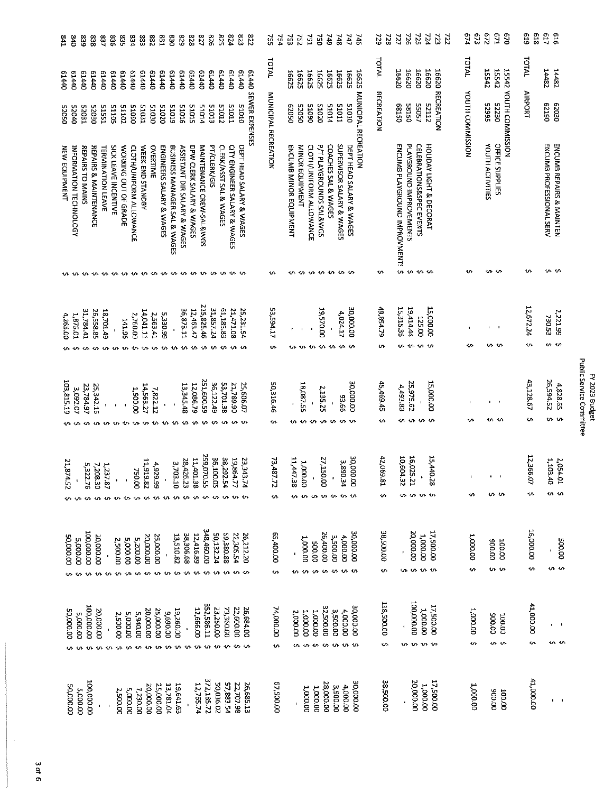| 541                  | 340<br>839                                 | 838                          | 237                                         | 98                           | 835                  | 534                     | 533                 | 232            | E <sub>23</sub>                    | 08                           | 628                                        | 828                      | 727                      | 978<br>528               | 524                    | <b>SZS</b>                                                          | 778                  | 52                     | Ρă | 52                       | 252                 | <b>LS4</b>              | 5 <sup>1</sup>          | <b>G#Z</b>          | 34                        | 747                      | 746                  | 29<br>22               | 727                           | 362                                    | 725                      | $v\overline{z}t$           | 723<br>727              | 573<br>6/4               | 219                       | 571<br>620                      | 819<br>619             | LT9                      | 919                       |
|----------------------|--------------------------------------------|------------------------------|---------------------------------------------|------------------------------|----------------------|-------------------------|---------------------|----------------|------------------------------------|------------------------------|--------------------------------------------|--------------------------|--------------------------|--------------------------|------------------------|---------------------------------------------------------------------|----------------------|------------------------|----|--------------------------|---------------------|-------------------------|-------------------------|---------------------|---------------------------|--------------------------|----------------------|------------------------|-------------------------------|----------------------------------------|--------------------------|----------------------------|-------------------------|--------------------------|---------------------------|---------------------------------|------------------------|--------------------------|---------------------------|
| 04419                | <b>OP7T9</b><br><b>G1440</b>               | 01440                        | 0440                                        | 01440                        | 01440                | 01440                   | 01440               | 01440          | 01440                              | <b>C1440</b>                 | 04440                                      | 01440                    | 07440                    | 61440<br>07440           |                        | 01440<br>01440                                                      |                      | TOTAL                  |    | <b>16625</b>             | 16625               | 16625                   | <b>16625</b>            | 16625               | 16625                     | 16625                    | 16625                | <b>TATAL</b>           | 16620                         | 16620                                  | 16620                    | 16620                      |                         | <b>17101</b>             | <b>72542</b>              | 15542                           | TOTAL                  | 14482                    | 14482                     |
| 05025                | 12023<br>00025                             | 05030                        | 51551                                       | 51105                        | 51102                | 06015                   | <b>51031</b>        | <b>51030</b>   | 51020                              | <b>E1013</b>                 | 51015                                      | 51012                    | 41015                    | 51013                    | <b>51012</b>           | <b>TTOTS</b><br>0T0T5                                               | 61440 SEWER EXPENSES | MUNICIPAL RECREATION   |    | 05029                    | 05025               | 06015                   | 51020                   | <b>51014</b>        | <b>LLOTS</b>              | 01015                    | MUNICIPAL RECREATION | <b>RECREATION</b>      | 05129                         | 58150                                  | <b>55057</b>             | 52112                      | <b>16620 RECREATION</b> | <b>KOUTH COMMISSION</b>  | 556625                    | 15542 YOUTH COMMISSION<br>52230 | <b>AIRPORT</b>         | 62190                    | 03030                     |
| <b>NEW EQUIPMENT</b> | REPAIRS TO MAINS<br>INFORMATION TECHNOLOGY | REPAIRS & MAINTENANCE        | <b>TERMINATION LEAVE</b>                    | SICK LEAVE INCENTIVE         | WORKING OUT OF GRADE | CLOTH/UNIFORM ALLOWANCE | WEEK-END STANDBY    | OVERTIME       | ENGINEERS SALARY & WAGES           | BUSINESS MANAGER SAL & WAGES | ASSISTANT DIR SALARY & WAGES               | DPW CLERK SALARY & WAGES | MAINTENANCE CREW-SAL&WGS | PT/CLERK/GIS             | CLERK/ASST SAL & WAGES | DEPT HEAD SALARY & WAGES<br><b>CITY ENGINEER SALARY &amp; WAGES</b> |                      |                        |    | ENCUMB MINOR EQUIPMENT   | MINOR EQUIPMENT     | CLOTH/UNIFORM ALLOWANCE | P/T PLAYGROUNDS SAL&WGS | COACHES SAL & WAGES | SUPERVISOR SALARY & WAGES | DEPT HEAD SALARY & WAGES |                      |                        | ENCUMB PLAYGROUND IMPROVMENTS | PLAYGROUND IMPROVEMENTS                | CELEBRATIONS&SPEC EVENTS | HOLIDAY LIGHT & DECORAT    |                         |                          | <b>YOUTH ACTIVITIES</b>   | <b>OFFICE SUPPLIES</b>          |                        | ENCUMB PROFESSIONAL SERV | ENCUMB REPAIRS & MAINTEN  |
|                      |                                            |                              |                                             |                              |                      |                         |                     |                |                                    |                              |                                            |                          |                          |                          |                        | .                                                                   |                      | <b>VI</b>              |    | <b>U</b> r               | www.                |                         |                         |                     | いい                        |                          |                      | ₩                      |                               | <b>u</b> w w w                         |                          |                            |                         | <b>U)</b>                |                           | n v                             | u.                     |                          | ぃぃ                        |
| 4,265.00             | 10.578.1                                   | 31,784.41<br>26,558.85<br>٠n | 18,701.49                                   |                              | <b>141.96</b>        | 2,760.00                | 14,041.11           | 2,563.41       | 5,330.99                           |                              | 36 873.11                                  | 12.463.47                | 215,825.46               | 31,857.24                | 61,185.83              | 21,471.08<br>25,231.54                                              |                      | 53,594.17<br><b>v</b>  |    | $\pmb{\epsilon}$<br>ທ-ທ- |                     | w w                     | <b>19,570.00</b>        | ⇜                   | 4,024.17<br>ぃぃ            | 30,000.00                |                      | 49.854.79<br>÷         | 15,315.35<br>s                | 19.414.44<br>÷.                        | 125.00                   | 15,000.00<br>∿ ∿           |                         | ۰n                       | $\mathbf{r}$              | s s                             | 12,672.24<br>÷.        | 730.53                   | 2,221.99<br>v v           |
| 103,815.19           | 3,092.07                                   | 23,784.97<br>÷               | 25,342.16<br>$\pmb{\cdot}$<br>$\sim$<br>÷U. | $\bullet$                    | ۰n                   | 00'005'T<br>10.         | 14,563.27<br>$\sim$ | 7,872.12       | $\pmb{\epsilon}$<br>n <sub>n</sub> | m                            | 13,345.48<br>$\mathbf{u}$                  | 12,086.79                | 251,600.59<br>v.         | 36,122.49                | 53,701.38<br>ተጥ        | 21,789.90<br>25,606.07                                              |                      | 50,316.46<br>w         |    | Ŧ<br>u                   | 18,087.55<br>$\sim$ | $\blacksquare$<br>s.    | 2,135.25<br>÷           |                     | 99'66<br>ぃぃぃ              | 30,000.00                |                      | 45,469.45<br>ᡃᠬ        | 4,493.83                      | 25,975.62<br>www.                      | $\blacksquare$           | <b>15,000.00</b>           |                         | ٠n                       | $\mathbf{L}_{\mathbf{r}}$ | n n                             | 43,128.67<br>₩         | 26,594.52                | 4,828.65<br>$\sim$ $\sim$ |
| 21,874.52<br>v.v.    |                                            | 5,322.76                     | 1,237.87<br>7,208.30                        |                              | $\sim$               | 750.00                  | 11,919.82           | 4,929.99       | <b>00 00 00 00</b>                 | 3,703.10                     | 28,426.<br>ξ,<br>$\mathbf{u}$ $\mathbf{v}$ | 11,401.38<br>$\sim$      | 259,070.55               | 36,100.05<br>$u$ $v$ $v$ | 38,292.54              | 19,864.77<br>23,343<br>$\mathbf{u}$ $\mathbf{u}$                    | z                    | 73,487.72<br><b>U1</b> |    | 11,447.38                | 1,000.00<br>.       | $\mathbf{r}$            | 27,150.00               |                     | 3,890.34                  | 30,000.00                |                      | 42,069.81<br>۰n        | 10,604.3<br>Ñ                 | 16,025.21                              |                          | 15,440.28                  |                         | $\blacksquare$<br>∽      | $\bullet$                 | $\blacksquare$<br>n n           | 12,366.07<br>÷         | 1,103.40                 | 2,054.01<br>$\sim$ $\sim$ |
| 00'000'05            | <b>DO.000.2</b><br>⇜                       | <b>00'000'00T</b>            | 20,000.00<br>いいい                            | 2,500.00<br>∽                | 5,000.00             | 5,200.00<br>w w         | 20,000.00<br>$\sim$ | 25,000.00<br>⇜ | s                                  | 13,510.82<br>s               | 38,306.68<br>¢                             | 12,416.89<br>∽           | 348,460.00<br>↜          | 50,132.24<br>↜           | 59,380.88<br>᠊ᠬ        | 22,305.54<br>$\sim$ $\sim$                                          | 26,212,20            | 00'00'59<br>s          |    | ç.                       | 1,000.00<br>⇜       | 00'005<br>$\cdot$       | 26,400.00<br>$\sim$     | 3,500.00            | 4,000.00<br>いいい           | 00'000'08                |                      | 38,500.00<br>c,        |                               | <b>00'000'07</b><br>$\mathbf{C}$<br>u. | 1,000.00                 | 00'005'11<br>$\sim$ $\sim$ |                         | 1,000.00<br>$\mathbf{v}$ | 00'006                    | <b>100.00</b><br>u u            | 16,000.00<br>÷         |                          | 00.005<br>vi in           |
| 00'000'05<br>٠U٠     | 00'000'S                                   | 100,000.00<br>∿              | 20,000.00<br>$\sim$                         | 2,500.00<br><b>10-10-10-</b> | 5,000.00             | 5,940.00                | 20,000.00           | 25,000.00      | 00'069'6                           | 19,260.00                    |                                            | 12,666.00<br>.           | 352,586.11               | 23,250.00<br><b>****</b> | 73,360.00              | 22,600.00<br>いい                                                     | 26,684.00            | 74,000.00<br>÷         |    | 2,000.00<br>÷            | 1,000.00            | 1,000.00                | 32,500.00               | <b>DO DOS E</b>     | 4,000.00<br><b>www.ww</b> | 30.000.00                |                      | <b>118,500.00</b><br>s |                               | 100,000.00<br>∽                        | 00000T<br>$\bullet$      | 17,500.00<br><b>v</b> v    |                         | 1,000.00<br>S            | 00'006                    | 00001<br>s s                    | 41,000.00<br>$\bullet$ |                          | $\blacksquare$<br>n 01    |
| 00'000'05            | 5,000.00                                   | OD'OOD'OOT                   |                                             |                              | 2,500.00             | 5,000.00<br>7,230.00    | 20,000.00           | 25,000.00      | 13,781.04                          | 19,641.63                    |                                            | 12,765.74                | 372,185.72               | 50,036.02                | 57,883.54              | 22,707.98                                                           | 26,685.13            | 00'00'2'               |    |                          | 1,000.00            | <b>1,000.00</b>         | 28,000.00               | 3,500.00            | 4,000.00                  | 30,000.00                |                      | 38,500.00              |                               |                                        | 20,000.00<br>1,000.00    | 00 005' 41                 |                         | <b>DO.DO.L</b>           |                           | 00'006<br><b>OCTOOT</b>         | 41,000.00              |                          | $\blacksquare$            |

# 3 of 6

FY 2023 Budget<br>Public Service Committee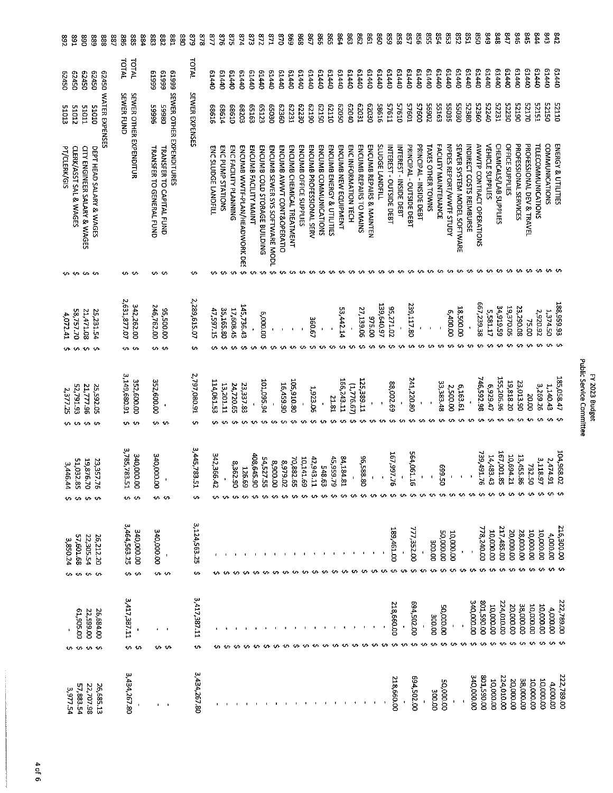| 392          | 581                           | 068                                          | 688                                    | 888                  | 887 | 988                    | 588<br>88              | 88    | 283                      | 58                                                         | 88 | 528                             | 878                | 777                 | 9/8               | 5/8                          | 874                           | 273                   | 218                          | <b>E71</b>                     | $\frac{8}{2}$             | 698                       | 898                    | 867                      | 998                   | 598                       | 564                  | 883                 | 298                     | E93                      | 86              | 623                         | 858                        | <b>Z52</b>                      | 958                            | 558               | 654                         | ξŠ                      | 758                         | IS <sub>8</sub>                 | $\overline{05}$           | 618                     | 848                    | 747                   | 918                   | 545                       | 544                       | 543                   | 242                |
|--------------|-------------------------------|----------------------------------------------|----------------------------------------|----------------------|-----|------------------------|------------------------|-------|--------------------------|------------------------------------------------------------|----|---------------------------------|--------------------|---------------------|-------------------|------------------------------|-------------------------------|-----------------------|------------------------------|--------------------------------|---------------------------|---------------------------|------------------------|--------------------------|-----------------------|---------------------------|----------------------|---------------------|-------------------------|--------------------------|-----------------|-----------------------------|----------------------------|---------------------------------|--------------------------------|-------------------|-----------------------------|-------------------------|-----------------------------|---------------------------------|---------------------------|-------------------------|------------------------|-----------------------|-----------------------|---------------------------|---------------------------|-----------------------|--------------------|
| 05/29        | 05v29                         | 62450                                        | 02450                                  |                      |     | <b>TAIAL</b>           | <b>TAINL</b>           | 66619 | 66619                    |                                                            |    | <b>TOTAL</b>                    |                    | 04440               | 04440             | 0##19                        | 01440                         | 01440                 | 01440                        | <b>C1440</b>                   | 61440                     | 04419                     | 61440                  | 01440                    | 01440                 | 01440                     | <b>D1440</b>         | <b>D1440</b>        | 0.1440                  | 01440                    | 61440           | 04419                       | 01440                      | <b>G1440</b>                    | 07779                          | 61440             | 01440                       | 01440                   | 01440                       | C1440                           | 01440                     | 61440                   | <b>G1440</b>           | 01440                 | 01440                 | 01440                     | 07779                     | 61440                 | 0.1440             |
| 51013        | 51012                         | <b>LIOIS</b>                                 | DIDIS                                  | 62450 WATER EXPENSES |     | SEWER FUND             |                        | 96665 | 08665                    |                                                            |    | SEWER EXPENSES                  |                    | 91989               | 68614             | 01989                        | <b>68203</b>                  | <b>COLED</b>          | 65123                        | <b>QEOS9</b>                   | 62360                     | 62231                     | 62230                  | 06129                    | 62150                 | 01179                     | 05029                | 01079               | <b>LEDZ9</b>            | 02029                    | 91985           | 1.945                       | 57610                      | 10925                           | 00925                          | 20695             | 55163                       | 55055                   | 02055                       | 08825                           | 52360                     | 07225                   | 52231                  | 52230                 | 06IZ5                 | 02125                     | EST25                     | 05175                 | 0TTZ5              |
| PT/CLERK/GIS | CLERK/ASST SAL & WAGES        | <b>CITY ENGINEER SALARY &amp; WAGES</b>      | DEPT HEAD SALARY & WAGES               |                      |     |                        | SEWER OTHER EXPENDITUR |       | TRANSFER TO GENERAL FUND | 61999 SEWER OTHER EXPENDITURES<br>TRANSFER TO CAPITAL FUND |    |                                 |                    | ENC SLUDGE LANDFILL | ENC PUNP STATIONS | <b>ENC FACILITY PLANNING</b> | ENCUMB WWTF-PLAN/HEADWORK DES | ENCUMB FACILITY MAINT | ENCUMB COLD STORAGE BUILDING | ENCUMB SEWER SYS SOFTWARE MODL | ENCUMB AWWT CONT&OPERATIO | ENCUMB CHEMICAL TREATMENT | ENCUMB OFFICE SUPPLIES | ENCUMB PROFESSIONAL SERV | ENCUMB COMMUNICATIONS | ENCUMB ENERGY & UTILITIES | ENCUMB NEW EQUIPMENT | ENCINFORMATION TECH | ENCUMB REPAIRS TO MAINS | ENCUMB REPAIRS & MAINTEN | SLUDGE LANDFILL | <b>NTEREST-OUTSIDE DEBT</b> | <b>NTEREST-INSIDE DEBT</b> | <b>PRINCIPAL - OUTSIDE DEBT</b> | <b>PRINCIPAL - INSIDE DEBT</b> | TAXES OTHER TOWNS | FACILITY MAINTENANCE        | NPDES REPORT/WWTF STUDY | SEWER SYSTEM MODEL SOFTWARE | <b>INDIRECT COSTS REIMBURSE</b> | AWWTP CONTRACT OPERATIONS | <b>VEHICLE SUPPLIES</b> | CHEMICALS/LAB SUPPLIES | OFFICE SUPPLIES       | PROFESSIONAL SERVICES | PROFESSIONAL DEV & TRAVEL | <b>TELECOMMUNICATIONS</b> | <b>COMMUNICATIONS</b> | ENERGY & UTILITIES |
|              | <b>.</b>                      |                                              |                                        |                      |     | v v                    |                        |       | s s                      |                                                            |    | v                               |                    |                     |                   |                              | ተው                            |                       |                              |                                |                           |                           |                        |                          |                       |                           |                      |                     |                         |                          |                 |                             |                            |                                 |                                |                   |                             |                         |                             |                                 |                           | <b>un us</b>            |                        |                       |                       |                           |                           |                       |                    |
| 4.072.41     | 58,757.70<br>$\sim$           | 21,471.08<br>$\sim$                          | 25,231.54                              |                      |     | 2,631,877.07<br>n n    | 342,262.00             |       | 246,762.00               | <b>95.500.00</b><br>۰V                                     |    | 2,289.615.07<br>ţ               |                    | 47,597.15           | 35,165.80         | 17,608.45                    | 145,736.43                    |                       | 6,000.00                     | $\mathbf{I}$                   |                           |                           |                        | 360.67                   |                       |                           | 53,442.14            |                     | 27,139.06               | 025.00                   | 139.640.97      | 35,271.02                   |                            | 239,117.80                      |                                |                   |                             | 6,400.00                | 00'00'28                    |                                 | 667, 239.38               | 5,581.17                | 34,919.59              | 19,370.05             | 23,290.08             | 75.00                     | 2,920.92                  | 1,374.50              | 188,959.93         |
| 2,377.25     | 52,791.93<br>$\sim$           | 21,777.96<br>÷.                              | 25,592.05                              |                      |     | 3,149,680.91<br>10. In | 352,600.00             |       | 352,600.00<br>'n n       | $\pmb{\cdot}$                                              |    | 2,797,080.91<br>łл              |                    | 114,061.53          | 13,201.11         | 24,720.65                    | 23,337.83                     |                       | 101,095.94                   |                                | 16,459.90                 | 105,910.80                |                        | 1,923.06                 | $\ddot{\phantom{0}}$  | 21.81                     | 166,243.11           | (1,776.67)          | 125,389.11              |                          |                 | 88,002.69                   |                            | 241,220.80                      | $\mathbf t$                    |                   | 33,383.48                   | 2,500.00                | 6,163.61                    |                                 | 746.592.98                | 6.929.47                | 35,206.96              | 19,818.20             | 23,013.90             | 20.00                     | 3,269.26                  | 1,140.43              | 185,058.47         |
| 3,446.44     | 51,032.<br>ġ,<br><b>v. v.</b> | 19,876.<br>$\ddot{\varepsilon}$<br><b>Ur</b> | 23,357.<br>$\mathbf{a}$<br>¢           |                      |     | 3,785,783.51           | 340,000,00<br>… ~      |       | 340,000.00<br>0.0        |                                                            |    | 3,445,783.<br>ŗ<br>$\mathbf{v}$ |                    | 342,366.42          |                   | 8,362.90                     | 126.69                        | 408,645.90            | 54,527.55                    | 00'006'8                       | 20'529.02                 | 70,882.65<br>w            | 10,141.69              | 42,943.11                | 548.63                | 45,959.79                 | 84,184.81            |                     | 96,588.80<br><b>SA</b>  | -in                      | $\mathcal{L}$   | 167,997.7<br>ౚ              | <b>u</b> u u               | 564,061.16                      | $\mathbf{I}$<br>÷.             | 10.               | 5.669<br>ō<br><b>******</b> | $\mathbf{r}$            |                             |                                 | 739,491.7<br>o,           | 14,483.43<br>w          | 167,001.85<br>t.       | 10,694.2:<br>i,<br>s. | 13,455.86             | 732.50                    | 3,118.9<br>┙              | 2,474.9:              |                    |
| 3,850.24     | 57,601.68                     | 22,305.54                                    | 26,212.20<br>$\mathbf{v}$              |                      |     | 3,464,563.25<br>¢      | 340,000.00<br>Š        |       | 340,000.00<br>n n        | $\blacksquare$                                             |    |                                 | 3,124,563.25<br>s  |                     |                   |                              |                               |                       |                              |                                |                           |                           |                        |                          |                       |                           |                      |                     |                         |                          |                 | 189,461.00                  |                            | 77,352,00                       |                                | <b>00'00E</b>     | <b>00'000'05</b>            | 10,000.00               | $\pmb{\ast}$                |                                 | 778,240.00                | 10,000.00               | 217,485.00             | 00'000'02             | 28,000.00             | 10,000.00                 | 10,000.00                 | 4,000.00              |                    |
| v.           | 00'506'T9<br>s.               | 22,599.00                                    | 26,684.00<br>$\mathbf{v}$ $\mathbf{u}$ |                      |     | 3,417,387.11<br>÷      | ١n                     |       | ٠<br>ぃぃ                  | - 1                                                        |    |                                 | 3,417,387.11<br>ţ. |                     |                   |                              |                               |                       |                              |                                |                           |                           |                        |                          |                       |                           |                      |                     | v                       |                          |                 | 218,660.00                  | $\bullet$                  | 694,502.00                      |                                | <b>COLOOE</b>     | <b>50,000.00</b>            | J                       |                             | 340,000.00                      | 00'085'108                | 10,000.00               | 224,010.00             | 20,000.00             | 38,000.00             | 00'000'01<br>ነሳ           | 10,000.00                 | 4,000.00              |                    |
| 3,977.54     | 57,883.54                     | 22,707.98                                    | 26,685.13                              |                      |     | 3,434,267.80           | J.                     |       |                          |                                                            |    |                                 | 3,434,267.80       |                     |                   |                              |                               |                       |                              |                                |                           |                           |                        |                          |                       |                           |                      |                     |                         |                          |                 | 218,660.00                  |                            | 694,502.00                      |                                | <b>OO'OOE</b>     | 50,000.00                   |                         |                             | <b>340,000.00</b>               | 801,590.00                | <b>10,000.00</b>        | 224,010.00             | 20,000.00             | 38,000.00             | 10,000.00                 | 10,000.00                 | 4,000.00              |                    |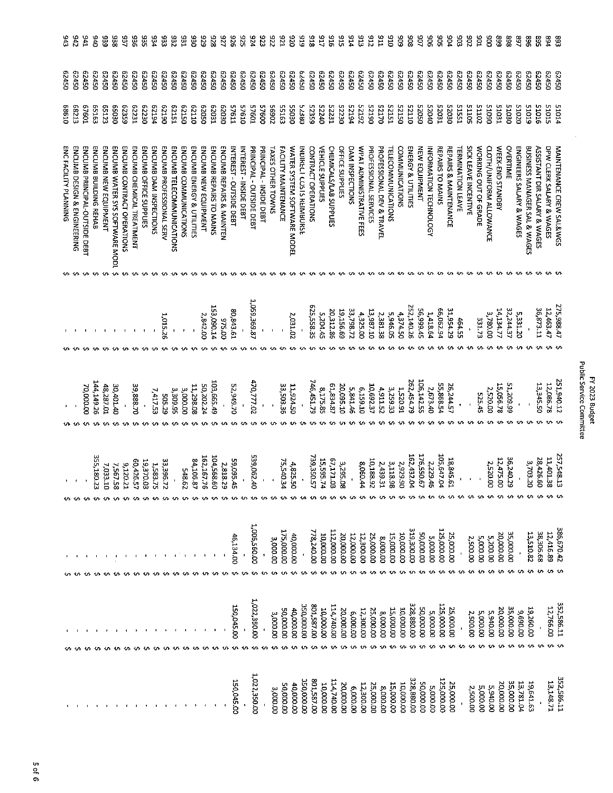|                                                                                                                                                                                                                                                          |                                                                                                                         |                                                                                                              |                                                                      |                                                                                                                                                                                                                                                                                                                                                                                                                                                                                                                                                                                                                                                                                                                                                                                                            | 52230<br><b>PGTZ5</b><br><b>52050</b><br>ESSES<br>20115<br>20115<br>06015<br><b>65163</b><br>65123<br>65359<br>E2231<br>62230<br>62194<br>62190<br>52151<br>62150<br>01110<br>05029<br>62031<br>02030<br><b>S7611</b><br><b>57610</b><br>10925<br><b>S7600</b><br>56902<br>55163<br>02055<br>08879<br>52359<br>07275<br>IEZZS<br>52192<br>06125<br>02170<br>52151<br>52150<br>01110<br>0+075<br><b>LEOS2</b><br>08030<br>02059 | 05729<br>051779<br>05779<br>05+79<br>05729<br>05+29<br>05450<br>05450<br>05v29<br>05729<br>05v29<br>05729<br>057759<br>05v29<br>62450<br>05729<br>05729<br>05779<br>051729<br>05729<br>057759<br>057450<br>05729<br>05729<br>05+29<br>05450<br>05729<br>05729<br>62450<br>057450<br>05450<br>05729<br>05729<br>05729<br>05450<br>05729<br>057759<br>057450<br>62450<br>057450<br>05+79<br>05+29<br>05v20<br>05450<br>51031<br>03030<br>51020 | 176<br>926<br>526<br>823<br>ZZ6<br>-22<br>026<br><b>S16</b><br>514<br>513<br>215<br><b>ELG</b><br><b>OIG</b><br>506<br>806<br>50<br>906<br>\$OS<br>504<br>303<br>205<br>g<br>940<br>33.<br>356<br>335<br>786<br>232<br>531<br><b>OSG</b><br>676<br>826<br>776<br>616<br>816<br><b>JT6</b><br>916<br>EO <sub>5</sub><br>68<br>868<br>597<br>939<br>336<br>933<br>968<br>568<br>768<br>05729<br>05+29<br>05029<br>9TOT5<br>51015<br><b>SIOIS</b> |
|----------------------------------------------------------------------------------------------------------------------------------------------------------------------------------------------------------------------------------------------------------|-------------------------------------------------------------------------------------------------------------------------|--------------------------------------------------------------------------------------------------------------|----------------------------------------------------------------------|------------------------------------------------------------------------------------------------------------------------------------------------------------------------------------------------------------------------------------------------------------------------------------------------------------------------------------------------------------------------------------------------------------------------------------------------------------------------------------------------------------------------------------------------------------------------------------------------------------------------------------------------------------------------------------------------------------------------------------------------------------------------------------------------------------|--------------------------------------------------------------------------------------------------------------------------------------------------------------------------------------------------------------------------------------------------------------------------------------------------------------------------------------------------------------------------------------------------------------------------------|----------------------------------------------------------------------------------------------------------------------------------------------------------------------------------------------------------------------------------------------------------------------------------------------------------------------------------------------------------------------------------------------------------------------------------------------|------------------------------------------------------------------------------------------------------------------------------------------------------------------------------------------------------------------------------------------------------------------------------------------------------------------------------------------------------------------------------------------------------------------------------------------------|
| ENCUMB BUILDING REHAB<br>ENCUMB NEW EQUIPMENT<br>ENCUMB CONTRACT OPERATIONS<br>ENCUMB CHEMICAL TREATMENT<br>ENCUMB OFFICE SUPPLIES<br>ENCUMB DAM INSPECTIONS<br>ENCUMB PROFESSIONAL SERV<br>ENCUMB TELECOMMUNICATIONS<br>ENCUMB WATER SYS SOFTWARE MODI. |                                                                                                                         |                                                                                                              |                                                                      | PROFESSIONAL DEV & TRAVEL<br>ENERGY & UTILITIES<br>ENCUMB ENERGY & UTILITIES<br>ENCUMB NEW EQUIPMENT<br>ENCUMB REPAIRS TO MAINS<br>ENCUMB REPAIRS & MAINTEN<br>PRINCIPAL - OUTSIDE DEBT<br>PRINCIPAL - INSIDE DEBT<br>FACILITY MAINTENANCE<br>WATER SYSTEM SOFTWARE MODEL<br><b>OFFICE SUPPLIES</b><br>DAM INSPECTIONS<br>WPAT ADMINISTRATIVE FEES<br>PROFESSIONAL SERVICES<br>COMMUNICATIONS<br>NEW EQUIPMENT<br>REPAIRS TO MAINS<br><b>REPAIRS &amp; MAINTENANCE</b><br>ENCUMB COMMUNICATIONS<br><b>NTEREST-OUTSIDE DEBT</b><br>INTEREST - INSIDE DEBT<br>CONTRACT OPERATIONS<br><b>VEHICLE SUPPLIES</b><br>CHEMICALS/LAB SUPPLIES<br><b><i>TELECOMMUNICATIONS</i></b><br><b>TERMINATION LEAVE</b><br><b><i>LAXES OTHER TOWNS</i></b><br><b>INDIRECT COSTS REIMBURSE</b><br><b>NFORMATION TECHNOLOGY</b> | SICK LEAVE INCENTIVE<br>WORKING OUT OF GRADE<br>CLOTH/UNIFORM ALLOWANCE                                                                                                                                                                                                                                                                                                                                                        | OVERTIME<br>ENGINEERS SALARY & WAGES<br>WEEK-END STANDBY                                                                                                                                                                                                                                                                                                                                                                                     | BUSINESS MANAGER SAL & WAGES<br>DPW CLERK SALARY & WAGES<br>ASSISTANT DIR SALARY & WAGES                                                                                                                                                                                                                                                                                                                                                       |
|                                                                                                                                                                                                                                                          |                                                                                                                         |                                                                                                              |                                                                      |                                                                                                                                                                                                                                                                                                                                                                                                                                                                                                                                                                                                                                                                                                                                                                                                            |                                                                                                                                                                                                                                                                                                                                                                                                                                |                                                                                                                                                                                                                                                                                                                                                                                                                                              |                                                                                                                                                                                                                                                                                                                                                                                                                                                |
|                                                                                                                                                                                                                                                          |                                                                                                                         |                                                                                                              |                                                                      |                                                                                                                                                                                                                                                                                                                                                                                                                                                                                                                                                                                                                                                                                                                                                                                                            |                                                                                                                                                                                                                                                                                                                                                                                                                                |                                                                                                                                                                                                                                                                                                                                                                                                                                              |                                                                                                                                                                                                                                                                                                                                                                                                                                                |
| 1,015.26                                                                                                                                                                                                                                                 | 1,059,369.87<br>153,090.14<br>80,843.61<br>2,842.00<br>2,031.02<br>0.2.00                                               | 625,558.35<br>33,798.72<br>19,156.69<br>20,312.86<br>13,987.10<br>5,204.45<br>4,325.00                       | 252,140.26<br>56,999.45<br>5,946.05<br>4,374.50<br>2381.38           | 66,062.94<br>31,954.29<br>1,418.64<br>464.55                                                                                                                                                                                                                                                                                                                                                                                                                                                                                                                                                                                                                                                                                                                                                               | 3,780.00<br>331.73                                                                                                                                                                                                                                                                                                                                                                                                             | 32.244.37<br>14.134.77<br>5,331.20                                                                                                                                                                                                                                                                                                                                                                                                           | 36,873.11<br>12,463.47                                                                                                                                                                                                                                                                                                                                                                                                                         |
| 39,888.70<br>7,417.53<br><b>505.29</b>                                                                                                                                                                                                                   | 103,665.49<br>170,777.02<br>52,949.70<br>50,202.24<br>33,503.36<br>11,924.50<br>11,298.08<br>3,309.95<br>3,000.00       | 746,451.79<br>61,834.87<br>20,095.10<br>10,692.37<br>6,159.10<br>8,175.85<br>5,841.46                        | 106,142.55<br>262,454.79<br>3,259.33<br>4,911.52<br>1,520.91         | 55,858.54<br>26,244.57<br>2,673.40                                                                                                                                                                                                                                                                                                                                                                                                                                                                                                                                                                                                                                                                                                                                                                         | 2,520.00<br>525.45                                                                                                                                                                                                                                                                                                                                                                                                             | 51,209.99<br>15,056.78<br>$\bullet$                                                                                                                                                                                                                                                                                                                                                                                                          | <b>05'StE'ET</b><br>12,086.78                                                                                                                                                                                                                                                                                                                                                                                                                  |
| 19,370.03                                                                                                                                                                                                                                                |                                                                                                                         |                                                                                                              |                                                                      |                                                                                                                                                                                                                                                                                                                                                                                                                                                                                                                                                                                                                                                                                                                                                                                                            |                                                                                                                                                                                                                                                                                                                                                                                                                                |                                                                                                                                                                                                                                                                                                                                                                                                                                              |                                                                                                                                                                                                                                                                                                                                                                                                                                                |
| 33,396.72<br>1,583.75                                                                                                                                                                                                                                    | 539,062.40<br>104,568.<br>162,167.76<br>84,106.87<br>59,095.45<br>75,540.34<br>2,818.<br>4,825.50<br>548.62<br>පි<br>62 | 739,350.57<br>15,595.74<br>67,171.03<br>10,188.92<br>3,295.0<br>8,060.44<br>$\ddot{\phantom{0}}$<br>ਲ        | 176,550.67<br>162,432.04<br>3,118.98<br>2,929.90<br>2,439.31         | 105,647.04<br>18,845.61<br>2,229.46<br>$\mathbf{I}$                                                                                                                                                                                                                                                                                                                                                                                                                                                                                                                                                                                                                                                                                                                                                        | 2,520.00<br>$\,$                                                                                                                                                                                                                                                                                                                                                                                                               | 36,240.2<br>12,475.0<br>$\pmb{\cdot}$<br>ō<br>iō                                                                                                                                                                                                                                                                                                                                                                                             | 11,401.3<br>28,426.6<br>3,703.2<br>٥<br>$\bar{\mathbf{C}}$<br>ŌÓ                                                                                                                                                                                                                                                                                                                                                                               |
|                                                                                                                                                                                                                                                          |                                                                                                                         |                                                                                                              |                                                                      |                                                                                                                                                                                                                                                                                                                                                                                                                                                                                                                                                                                                                                                                                                                                                                                                            |                                                                                                                                                                                                                                                                                                                                                                                                                                | 1,006,560.00<br>319,300.00<br>125,000.00<br>175,000.00<br>112,000.00<br>778,240.00<br>00'000'05<br>35,000.00<br>15,000.00<br>10,000.00<br>20,000.00<br>12,000.00<br>12,300.00<br>25,000.00<br>00'134.00<br>10,000.00<br>20,000.00<br>25,000.00<br>40,000.00<br>5,000.00<br>8.000.00<br>5,000.00<br>5,200.00<br><b>2,500.00</b><br>3,000.00                                                                                                   | 13,510.82<br>38,306.68<br>12,416.89                                                                                                                                                                                                                                                                                                                                                                                                            |
|                                                                                                                                                                                                                                                          |                                                                                                                         |                                                                                                              |                                                                      |                                                                                                                                                                                                                                                                                                                                                                                                                                                                                                                                                                                                                                                                                                                                                                                                            |                                                                                                                                                                                                                                                                                                                                                                                                                                |                                                                                                                                                                                                                                                                                                                                                                                                                                              |                                                                                                                                                                                                                                                                                                                                                                                                                                                |
|                                                                                                                                                                                                                                                          | 1,022,350.00<br>150,045.00<br><b>50,000.00</b><br>40,000.00<br>3,000.00                                                 | 00'000'05C<br>00'285'08<br>114,740.00<br>10,000,00<br>12,300.00<br><b>DO.DOO.DO</b><br>25,000.00<br>6,000.00 | 328,880.00<br>00'000'05<br>15,000.00<br><b>00'000'00</b><br>8,000.00 | 125,000.00<br>25,000.00<br>5,000.00                                                                                                                                                                                                                                                                                                                                                                                                                                                                                                                                                                                                                                                                                                                                                                        | 5,940.00<br>5,000.00<br>2,500.00                                                                                                                                                                                                                                                                                                                                                                                               | 35,000.00<br>20,000.00<br>00'069'6                                                                                                                                                                                                                                                                                                                                                                                                           | 12,766.00<br>19,260.00                                                                                                                                                                                                                                                                                                                                                                                                                         |

 $\bar{\mathcal{A}}$